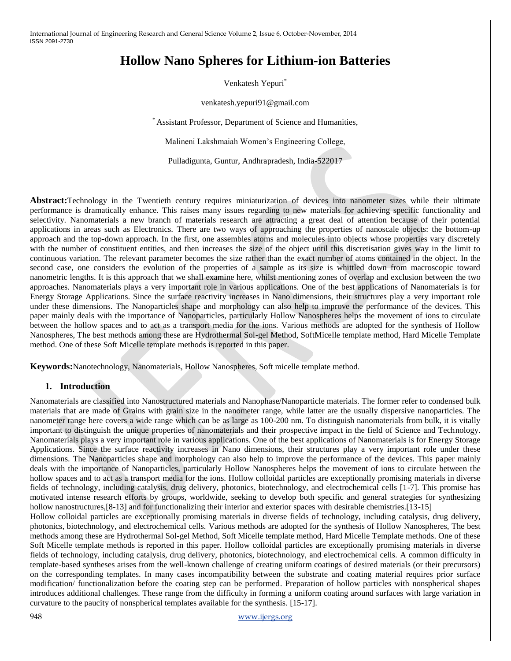# **Hollow Nano Spheres for Lithium-ion Batteries**

Venkatesh Yepuri<sup>\*</sup>

venkatesh.yepuri91@gmail.com

\* Assistant Professor, Department of Science and Humanities,

Malineni Lakshmaiah Women's Engineering College,

Pulladigunta, Guntur, Andhrapradesh, India-522017

**Abstract:**Technology in the Twentieth century requires miniaturization of devices into nanometer sizes while their ultimate performance is dramatically enhance. This raises many issues regarding to new materials for achieving specific functionality and selectivity. Nanomaterials a new branch of materials research are attracting a great deal of attention because of their potential applications in areas such as Electronics. There are two ways of approaching the properties of nanoscale objects: the bottom-up approach and the top-down approach. In the first, one assembles atoms and molecules into objects whose properties vary discretely with the number of constituent entities, and then increases the size of the object until this discretisation gives way in the limit to continuous variation. The relevant parameter becomes the size rather than the exact number of atoms contained in the object. In the second case, one considers the evolution of the properties of a sample as its size is whittled down from macroscopic toward nanometric lengths. It is this approach that we shall examine here, whilst mentioning zones of overlap and exclusion between the two approaches. Nanomaterials plays a very important role in various applications. One of the best applications of Nanomaterials is for Energy Storage Applications. Since the surface reactivity increases in Nano dimensions, their structures play a very important role under these dimensions. The Nanoparticles shape and morphology can also help to improve the performance of the devices. This paper mainly deals with the importance of Nanoparticles, particularly Hollow Nanospheres helps the movement of ions to circulate between the hollow spaces and to act as a transport media for the ions. Various methods are adopted for the synthesis of Hollow Nanospheres, The best methods among these are Hydrothermal Sol-gel Method, SoftMicelle template method, Hard Micelle Template method. One of these Soft Micelle template methods is reported in this paper.

**Keywords:**Nanotechnology, Nanomaterials, Hollow Nanospheres, Soft micelle template method.

## **1. Introduction**

Nanomaterials are classified into Nanostructured materials and Nanophase/Nanoparticle materials. The former refer to condensed bulk materials that are made of Grains with grain size in the nanometer range, while latter are the usually dispersive nanoparticles. The nanometer range here covers a wide range which can be as large as 100-200 nm. To distinguish nanomaterials from bulk, it is vitally important to distinguish the unique properties of nanomaterials and their prospective impact in the field of Science and Technology. Nanomaterials plays a very important role in various applications. One of the best applications of Nanomaterials is for Energy Storage Applications. Since the surface reactivity increases in Nano dimensions, their structures play a very important role under these dimensions. The Nanoparticles shape and morphology can also help to improve the performance of the devices. This paper mainly deals with the importance of Nanoparticles, particularly Hollow Nanospheres helps the movement of ions to circulate between the hollow spaces and to act as a transport media for the ions. Hollow colloidal particles are exceptionally promising materials in diverse fields of technology, including catalysis, drug delivery, photonics, biotechnology, and electrochemical cells [1-7]. This promise has motivated intense research efforts by groups, worldwide, seeking to develop both specific and general strategies for synthesizing hollow nanostructures, [8-13] and for functionalizing their interior and exterior spaces with desirable chemistries. [13-15]

Hollow colloidal particles are exceptionally promising materials in diverse fields of technology, including catalysis, drug delivery, photonics, biotechnology, and electrochemical cells. Various methods are adopted for the synthesis of Hollow Nanospheres, The best methods among these are Hydrothermal Sol-gel Method, Soft Micelle template method, Hard Micelle Template methods. One of these Soft Micelle template methods is reported in this paper. Hollow colloidal particles are exceptionally promising materials in diverse fields of technology, including catalysis, drug delivery, photonics, biotechnology, and electrochemical cells. A common difficulty in template-based syntheses arises from the well-known challenge of creating uniform coatings of desired materials (or their precursors) on the corresponding templates. In many cases incompatibility between the substrate and coating material requires prior surface modification/ functionalization before the coating step can be performed. Preparation of hollow particles with nonspherical shapes introduces additional challenges. These range from the difficulty in forming a uniform coating around surfaces with large variation in curvature to the paucity of nonspherical templates available for the synthesis. [15-17].

948 www.ijergs.org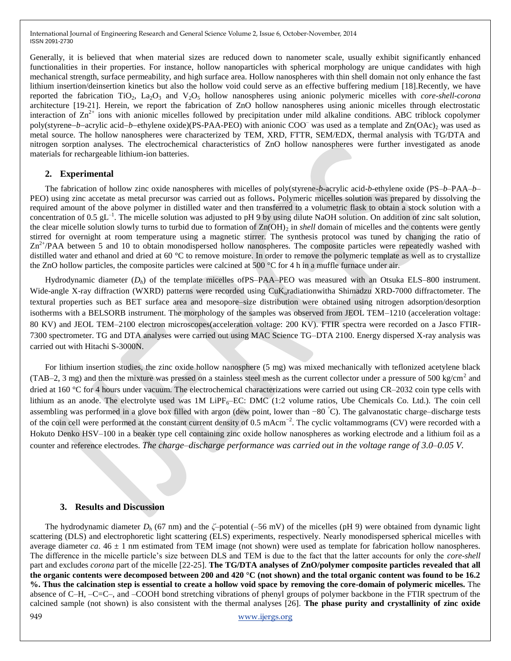Generally, it is believed that when material sizes are reduced down to nanometer scale, usually exhibit significantly enhanced functionalities in their properties. For instance, hollow nanoparticles with spherical morphology are unique candidates with high mechanical strength, surface permeability, and high surface area. Hollow nanospheres with thin shell domain not only enhance the fast lithium insertion/deinsertion kinetics but also the hollow void could serve as an effective buffering medium [18].Recently, we have reported the fabrication TiO<sub>2</sub>, La<sub>2</sub>O<sub>3</sub> and V<sub>2</sub>O<sub>5</sub> hollow nanospheres using anionic polymeric micelles with *core-shell-corona* architecture [19-21]. Herein, we report the fabrication of ZnO hollow nanospheres using anionic micelles through electrostatic interaction of  $\text{Zn}^{2+}$  ions with anionic micelles followed by precipitation under mild alkaline conditions. ABC triblock copolymer poly(styrene–*b*–acrylic acid–*b*–ethylene oxide)(PS-PAA-PEO) with anionic COO<sup>–</sup> was used as a template and Zn(OAc)<sub>2</sub> was used as metal source. The hollow nanospheres were characterized by TEM, XRD, FTTR, SEM/EDX, thermal analysis with TG/DTA and nitrogen sorption analyses. The electrochemical characteristics of ZnO hollow nanospheres were further investigated as anode materials for rechargeable lithium-ion batteries.

## **2. Experimental**

The fabrication of hollow zinc oxide nanospheres with micelles of poly(styrene-*b*-acrylic acid-*b*-ethylene oxide (PS–*b*–PAA–*b*– PEO) using zinc accetate as metal precursor was carried out as follows**.** Polymeric micelles solution was prepared by dissolving the required amount of the above polymer in distilled water and then transferred to a volumetric flask to obtain a stock solution with a concentration of 0.5  $gL^{-1}$ . The micelle solution was adjusted to pH 9 by using dilute NaOH solution. On addition of zinc salt solution, the clear micelle solution slowly turns to turbid due to formation of Zn(OH)<sub>2</sub> in *shell* domain of micelles and the contents were gently stirred for overnight at room temperature using a magnetic stirrer. The synthesis protocol was tuned by changing the ratio of  $Zn^{2+}/PAA$  between 5 and 10 to obtain monodispersed hollow nanospheres. The composite particles were repeatedly washed with distilled water and ethanol and dried at 60 °C to remove moisture. In order to remove the polymeric template as well as to crystallize the ZnO hollow particles, the composite particles were calcined at 500 °C for 4 h in a muffle furnace under air.

Hydrodynamic diameter (*Dh*) of the template micelles ofPS–PAA–PEO was measured with an Otsuka ELS–800 instrument. Wide-angle X-ray diffraction (WXRD) patterns were recorded using CuK<sub>a</sub>radiationwitha Shimadzu XRD-7000 diffractometer. The textural properties such as BET surface area and mesopore–size distribution were obtained using nitrogen adsorption/desorption isotherms with a BELSORB instrument. The morphology of the samples was observed from JEOL TEM–1210 (acceleration voltage: 80 KV) and JEOL TEM–2100 electron microscopes(acceleration voltage: 200 KV). FTIR spectra were recorded on a Jasco FTIR-7300 spectrometer. TG and DTA analyses were carried out using MAC Science TG–DTA 2100. Energy dispersed X-ray analysis was carried out with Hitachi S-3000N.

For lithium insertion studies, the zinc oxide hollow nanosphere (5 mg) was mixed mechanically with teflonized acetylene black (TAB–2, 3 mg) and then the mixture was pressed on a stainless steel mesh as the current collector under a pressure of 500 kg/cm<sup>2</sup> and dried at 160 °C for 4 hours under vacuum. The electrochemical characterizations were carried out using CR–2032 coin type cells with lithium as an anode. The electrolyte used was  $1M$  LiPF<sub>6</sub>–EC: DMC (1:2 volume ratios, Ube Chemicals Co. Ltd.). The coin cell assembling was performed in a glove box filled with argon (dew point, lower than −80 °C). The galvanostatic charge–discharge tests of the coin cell were performed at the constant current density of 0.5 mAcm<sup>-2</sup>. The cyclic voltammograms (CV) were recorded with a Hokuto Denko HSV–100 in a beaker type cell containing zinc oxide hollow nanospheres as working electrode and a lithium foil as a counter and reference electrodes. *The charge–discharge performance was carried out in the voltage range of 3.0–0.05 V.*

#### **3. Results and Discussion**

949 www.ijergs.org The hydrodynamic diameter *D<sup>h</sup>* (67 nm) and the *ζ*–potential (–56 mV) of the micelles (pH 9) were obtained from dynamic light scattering (DLS) and electrophoretic light scattering (ELS) experiments, respectively. Nearly monodispersed spherical micelles with average diameter *ca*.  $46 \pm 1$  nm estimated from TEM image (not shown) were used as template for fabrication hollow nanospheres. The difference in the micelle particle's size between DLS and TEM is due to the fact that the latter accounts for only the *core-shell* part and excludes *corona* part of the micelle [22-25]. **The TG/DTA analyses of ZnO/polymer composite particles revealed that all the organic contents were decomposed between 200 and 420 °C (not shown) and the total organic content was found to be 16.2 %. Thus the calcination step is essential to create a hollow void space by removing the core-domain of polymeric micelles.** The absence of C–H, –C=C–, and –COOH bond stretching vibrations of phenyl groups of polymer backbone in the FTIR spectrum of the calcined sample (not shown) is also consistent with the thermal analyses [26]. **The phase purity and crystallinity of zinc oxide**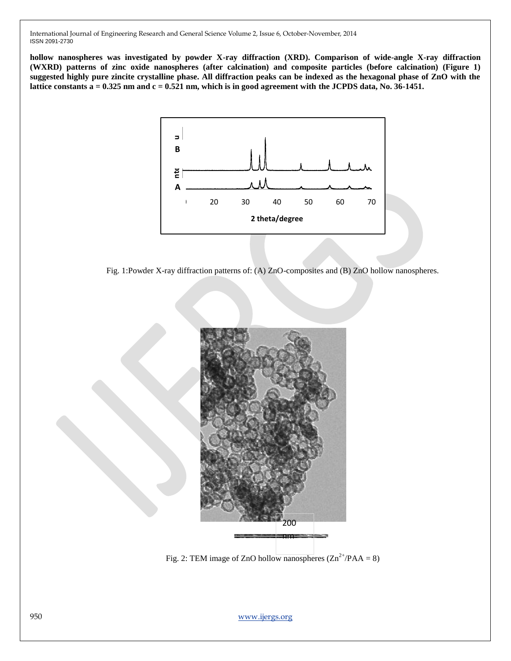**hollow nanospheres was investigated by powder X-ray diffraction (XRD). Comparison of wide-angle X-ray diffraction (WXRD) patterns of zinc oxide nanospheres (after calcination) and composite particles (before calcination) (Figure 1) suggested highly pure zincite crystalline phase. All diffraction peaks can be indexed as the hexagonal phase of ZnO with the lattice constants a = 0.325 nm and c = 0.521 nm, which is in good agreement with the JCPDS data, No. 36-1451.** 



Fig. 1:Powder X-ray diffraction patterns of: (A) ZnO-composites and (B) ZnO hollow nanospheres.



Fig. 2: TEM image of ZnO hollow nanospheres  $(Zn^{2+}/PAA = 8)$ 

950 www.ijergs.org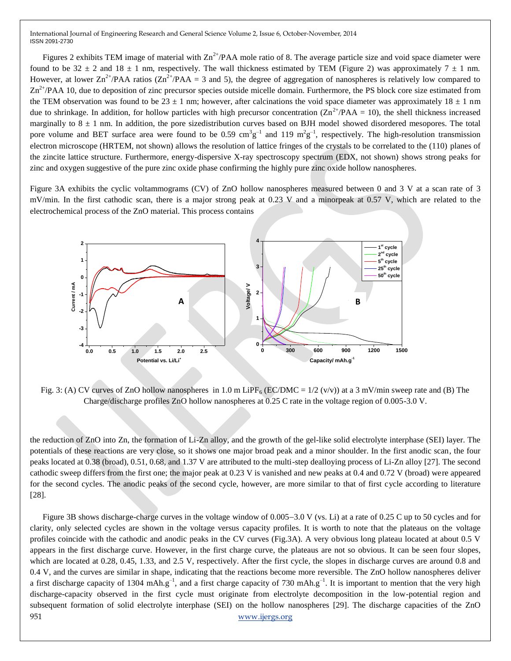Figures 2 exhibits TEM image of material with  $Zn^{2+}/PAA$  mole ratio of 8. The average particle size and void space diameter were found to be 32  $\pm$  2 and 18  $\pm$  1 nm, respectively. The wall thickness estimated by TEM (Figure 2) was approximately 7  $\pm$  1 nm. However, at lower  $\text{Zn}^{2+}/\text{PAA}$  ratios ( $\text{Zn}^{2+}/\text{PAA} = 3$  and 5), the degree of aggregation of nanospheres is relatively low compared to  $Zn^{2+}/PAA$  10, due to deposition of zinc precursor species outside micelle domain. Furthermore, the PS block core size estimated from the TEM observation was found to be 23  $\pm$  1 nm; however, after calcinations the void space diameter was approximately 18  $\pm$  1 nm due to shrinkage. In addition, for hollow particles with high precursor concentration  $(Zn^{2+}/PAA = 10)$ , the shell thickness increased marginally to  $8 \pm 1$  nm. In addition, the pore sizedistribution curves based on BJH model showed disordered mesopores. The total pore volume and BET surface area were found to be 0.59 cm<sup>3</sup>g<sup>-1</sup> and 119 m<sup>2</sup>g<sup>-1</sup>, respectively. The high-resolution transmission electron microscope (HRTEM, not shown) allows the resolution of lattice fringes of the crystals to be correlated to the (110) planes of the zincite lattice structure. Furthermore, energy-dispersive X-ray spectroscopy spectrum (EDX, not shown) shows strong peaks for zinc and oxygen suggestive of the pure zinc oxide phase confirming the highly pure zinc oxide hollow nanospheres.

Figure 3A exhibits the cyclic voltammograms (CV) of ZnO hollow nanospheres measured between 0 and 3 V at a scan rate of 3 mV/min. In the first cathodic scan, there is a major strong peak at 0.23 V and a minorpeak at 0.57 V, which are related to the electrochemical process of the ZnO material. This process contains



Fig. 3: (A) CV curves of ZnO hollow nanospheres in 1.0 m LiPF<sub>6</sub> (EC/DMC =  $1/2$  (v/v)) at a 3 mV/min sweep rate and (B) The Charge/discharge profiles ZnO hollow nanospheres at 0.25 C rate in the voltage region of 0.005-3.0 V.

the reduction of ZnO into Zn, the formation of Li-Zn alloy, and the growth of the gel-like solid electrolyte interphase (SEI) layer. The potentials of these reactions are very close, so it shows one major broad peak and a minor shoulder. In the first anodic scan, the four peaks located at 0.38 (broad), 0.51, 0.68, and 1.37 V are attributed to the multi-step dealloying process of Li-Zn alloy [27]. The second cathodic sweep differs from the first one; the major peak at 0.23 V is vanished and new peaks at 0.4 and 0.72 V (broad) were appeared for the second cycles. The anodic peaks of the second cycle, however, are more similar to that of first cycle according to literature [28].

951 www.ijergs.org Figure 3B shows discharge-charge curves in the voltage window of 0.005–3.0 V (vs. Li) at a rate of 0.25 C up to 50 cycles and for clarity, only selected cycles are shown in the voltage versus capacity profiles. It is worth to note that the plateaus on the voltage profiles coincide with the cathodic and anodic peaks in the CV curves (Fig.3A). A very obvious long plateau located at about 0.5 V appears in the first discharge curve. However, in the first charge curve, the plateaus are not so obvious. It can be seen four slopes, which are located at 0.28, 0.45, 1.33, and 2.5 V, respectively. After the first cycle, the slopes in discharge curves are around 0.8 and 0.4 V, and the curves are similar in shape, indicating that the reactions become more reversible. The ZnO hollow nanospheres deliver a first discharge capacity of 1304 mAh.g<sup>-1</sup>, and a first charge capacity of 730 mAh.g<sup>-1</sup>. It is important to mention that the very high discharge-capacity observed in the first cycle must originate from electrolyte decomposition in the low-potential region and subsequent formation of solid electrolyte interphase (SEI) on the hollow nanospheres [29]. The discharge capacities of the ZnO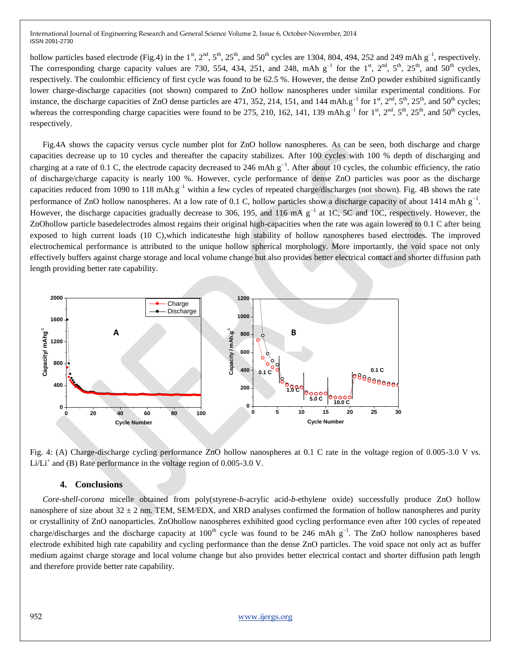hollow particles based electrode (Fig.4) in the  $1^{st}$ ,  $2^{nd}$ ,  $5^{th}$ ,  $25^{th}$ , and  $50^{th}$  cycles are 1304, 804, 494, 252 and 249 mAh g<sup>-1</sup>, respectively. The corresponding charge capacity values are 730, 554, 434, 251, and 248, mAh  $g^{-1}$  for the 1<sup>st</sup>, 2<sup>nd</sup>, 5<sup>th</sup>, 25<sup>th</sup>, and 50<sup>th</sup> cycles, respectively. The coulombic efficiency of first cycle was found to be 62.5 %. However, the dense ZnO powder exhibited significantly lower charge-discharge capacities (not shown) compared to ZnO hollow nanospheres under similar experimental conditions. For instance, the discharge capacities of ZnO dense particles are 471, 352, 214, 151, and 144 mAh.g<sup>-1</sup> for  $1^{st}$ ,  $2^{nd}$ ,  $5^{th}$ ,  $25^{th}$ , and  $50^{th}$  cycles; whereas the corresponding charge capacities were found to be 275, 210, 162, 141, 139 mAh.g<sup>-1</sup> for 1<sup>st</sup>, 2<sup>nd</sup>, 5<sup>th</sup>, 25<sup>th</sup>, and 50<sup>th</sup> cycles, respectively.

 Fig.4A shows the capacity versus cycle number plot for ZnO hollow nanospheres. As can be seen, both discharge and charge capacities decrease up to 10 cycles and thereafter the capacity stabilizes. After 100 cycles with 100 % depth of discharging and charging at a rate of 0.1 C, the electrode capacity decreased to 246 mAh  $g^{-1}$ . After about 10 cycles, the columbic efficiency, the ratio of discharge/charge capacity is nearly 100 %. However, cycle performance of dense ZnO particles was poor as the discharge capacities reduced from 1090 to 118 mAh. $g^{-1}$  within a few cycles of repeated charge/discharges (not shown). Fig. 4B shows the rate performance of ZnO hollow nanospheres. At a low rate of 0.1 C, hollow particles show a discharge capacity of about 1414 mAh  $g^{-1}$ . However, the discharge capacities gradually decrease to 306, 195, and 116 mA  $g^{-1}$  at 1C, 5C and 10C, respectively. However, the ZnOhollow particle basedelectrodes almost regains their original high-capacities when the rate was again lowered to 0.1 C after being exposed to high current loads (10 C),which indicatesthe high stability of hollow nanospheres based electrodes. The improved electrochemical performance is attributed to the unique hollow spherical morphology. More importantly, the void space not only effectively buffers against charge storage and local volume change but also provides better electrical contact and shorter diffusion path length providing better rate capability.



Fig. 4: (A) Charge-discharge cycling performance ZnO hollow nanospheres at 0.1 C rate in the voltage region of 0.005-3.0 V vs. Li/Li<sup>+</sup> and (B) Rate performance in the voltage region of  $0.005$ -3.0 V.

### **4. Conclusions**

 *Core-shell-corona* micelle obtained from poly(styrene-*b*-acrylic acid-*b*-ethylene oxide) successfully produce ZnO hollow nanosphere of size about  $32 \pm 2$  nm. TEM, SEM/EDX, and XRD analyses confirmed the formation of hollow nanospheres and purity or crystallinity of ZnO nanoparticles. ZnOhollow nanospheres exhibited good cycling performance even after 100 cycles of repeated charge/discharges and the discharge capacity at  $100<sup>th</sup>$  cycle was found to be 246 mAh g<sup>-1</sup>. The ZnO hollow nanospheres based electrode exhibited high rate capability and cycling performance than the dense ZnO particles. The void space not only act as buffer medium against charge storage and local volume change but also provides better electrical contact and shorter diffusion path length and therefore provide better rate capability.